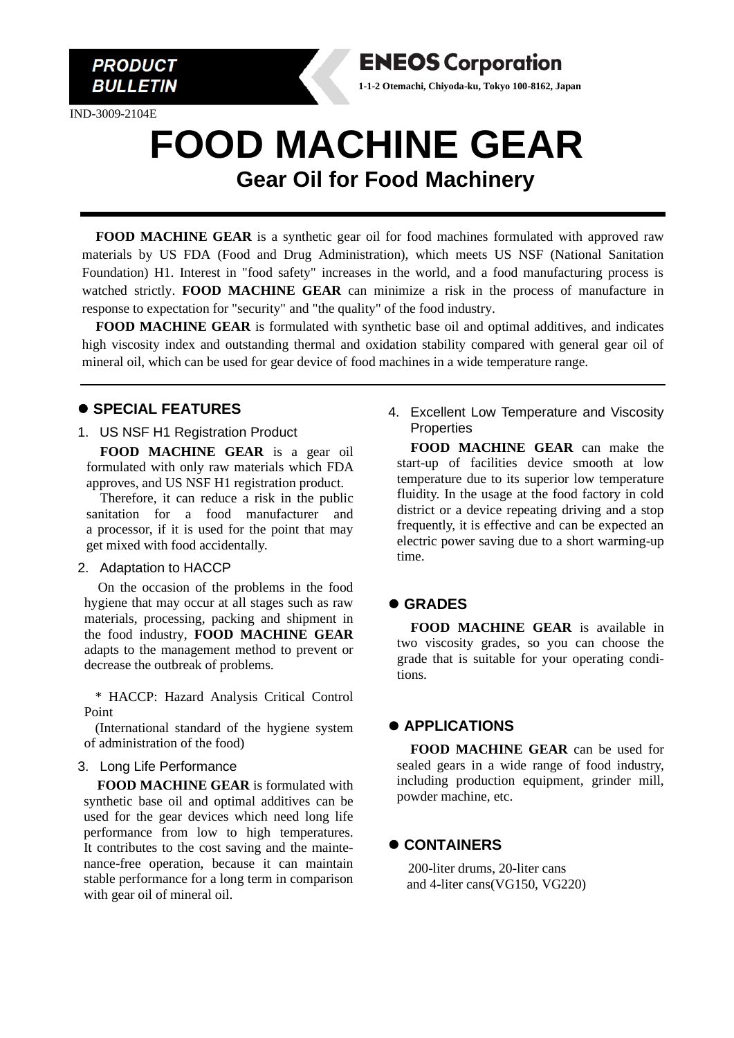

IND-3009-2104E

# **FOOD MACHINE GEAR Gear Oil for Food Machinery**

**ENEOS Corporation 1-1-2 Otemachi, Chiyoda-ku, Tokyo 100-8162, Japan**

**FOOD MACHINE GEAR** is a synthetic gear oil for food machines formulated with approved raw materials by US FDA (Food and Drug Administration), which meets US NSF (National Sanitation Foundation) H1. Interest in "food safety" increases in the world, and a food manufacturing process is watched strictly. **FOOD MACHINE GEAR** can minimize a risk in the process of manufacture in response to expectation for "security" and "the quality" of the food industry.

**FOOD MACHINE GEAR** is formulated with synthetic base oil and optimal additives, and indicates high viscosity index and outstanding thermal and oxidation stability compared with general gear oil of mineral oil, which can be used for gear device of food machines in a wide temperature range.

## ⚫ **SPECIAL FEATURES**

#### 1. US NSF H1 Registration Product

**FOOD MACHINE GEAR** is a gear oil formulated with only raw materials which FDA approves, and US NSF H1 registration product.

Therefore, it can reduce a risk in the public sanitation for a food manufacturer and a processor, if it is used for the point that may get mixed with food accidentally.

#### 2. Adaptation to HACCP

On the occasion of the problems in the food hygiene that may occur at all stages such as raw materials, processing, packing and shipment in the food industry, **FOOD MACHINE GEAR** adapts to the management method to prevent or decrease the outbreak of problems.

\* HACCP: Hazard Analysis Critical Control Point

(International standard of the hygiene system of administration of the food)

#### 3. Long Life Performance

**FOOD MACHINE GEAR** is formulated with synthetic base oil and optimal additives can be used for the gear devices which need long life performance from low to high temperatures. It contributes to the cost saving and the maintenance-free operation, because it can maintain stable performance for a long term in comparison with gear oil of mineral oil.

4. Excellent Low Temperature and Viscosity **Properties** 

**FOOD MACHINE GEAR** can make the start-up of facilities device smooth at low temperature due to its superior low temperature fluidity. In the usage at the food factory in cold district or a device repeating driving and a stop frequently, it is effective and can be expected an electric power saving due to a short warming-up time.

## ⚫ **GRADES**

**FOOD MACHINE GEAR** is available in two viscosity grades, so you can choose the grade that is suitable for your operating conditions.

## ⚫ **APPLICATIONS**

**FOOD MACHINE GEAR** can be used for sealed gears in a wide range of food industry, including production equipment, grinder mill, powder machine, etc.

## ⚫ **CONTAINERS**

200-liter drums, 20-liter cans and 4-liter cans(VG150, VG220)